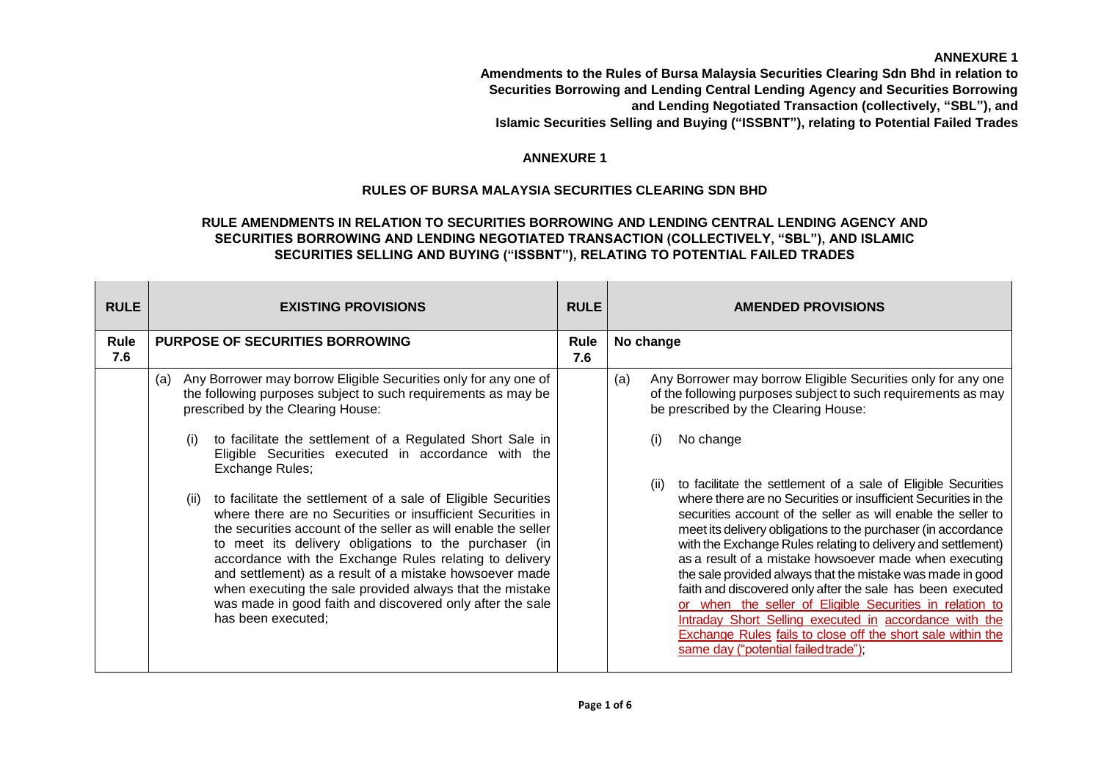**Amendments to the Rules of Bursa Malaysia Securities Clearing Sdn Bhd in relation to Securities Borrowing and Lending Central Lending Agency and Securities Borrowing and Lending Negotiated Transaction (collectively, "SBL"), and Islamic Securities Selling and Buying ("ISSBNT"), relating to Potential Failed Trades**

# **ANNEXURE 1**

# **RULES OF BURSA MALAYSIA SECURITIES CLEARING SDN BHD**

# **RULE AMENDMENTS IN RELATION TO SECURITIES BORROWING AND LENDING CENTRAL LENDING AGENCY AND SECURITIES BORROWING AND LENDING NEGOTIATED TRANSACTION (COLLECTIVELY, "SBL"), AND ISLAMIC SECURITIES SELLING AND BUYING ("ISSBNT"), RELATING TO POTENTIAL FAILED TRADES**

| <b>RULE</b> | <b>EXISTING PROVISIONS</b>                                                                                                                                                                                                                                                                                                                                                                                                                                                                                                                                                                                                                                                                                                                                                                                                                                         |  | <b>AMENDED PROVISIONS</b>                                                                                                                                                                                                                                                                                                                                                                                                                                                                                                                                                                                                                                                                                                                                                                                                                                                                                                                                         |
|-------------|--------------------------------------------------------------------------------------------------------------------------------------------------------------------------------------------------------------------------------------------------------------------------------------------------------------------------------------------------------------------------------------------------------------------------------------------------------------------------------------------------------------------------------------------------------------------------------------------------------------------------------------------------------------------------------------------------------------------------------------------------------------------------------------------------------------------------------------------------------------------|--|-------------------------------------------------------------------------------------------------------------------------------------------------------------------------------------------------------------------------------------------------------------------------------------------------------------------------------------------------------------------------------------------------------------------------------------------------------------------------------------------------------------------------------------------------------------------------------------------------------------------------------------------------------------------------------------------------------------------------------------------------------------------------------------------------------------------------------------------------------------------------------------------------------------------------------------------------------------------|
| Rule<br>7.6 | <b>PURPOSE OF SECURITIES BORROWING</b>                                                                                                                                                                                                                                                                                                                                                                                                                                                                                                                                                                                                                                                                                                                                                                                                                             |  | No change                                                                                                                                                                                                                                                                                                                                                                                                                                                                                                                                                                                                                                                                                                                                                                                                                                                                                                                                                         |
|             | Any Borrower may borrow Eligible Securities only for any one of<br>(a)<br>the following purposes subject to such requirements as may be<br>prescribed by the Clearing House:<br>to facilitate the settlement of a Regulated Short Sale in<br>(i)<br>Eligible Securities executed in accordance with the<br>Exchange Rules;<br>to facilitate the settlement of a sale of Eligible Securities<br>(ii)<br>where there are no Securities or insufficient Securities in<br>the securities account of the seller as will enable the seller<br>to meet its delivery obligations to the purchaser (in<br>accordance with the Exchange Rules relating to delivery<br>and settlement) as a result of a mistake howsoever made<br>when executing the sale provided always that the mistake<br>was made in good faith and discovered only after the sale<br>has been executed; |  | Any Borrower may borrow Eligible Securities only for any one<br>(a)<br>of the following purposes subject to such requirements as may<br>be prescribed by the Clearing House:<br>No change<br>(i)<br>to facilitate the settlement of a sale of Eligible Securities<br>(ii)<br>where there are no Securities or insufficient Securities in the<br>securities account of the seller as will enable the seller to<br>meet its delivery obligations to the purchaser (in accordance<br>with the Exchange Rules relating to delivery and settlement)<br>as a result of a mistake howsoever made when executing<br>the sale provided always that the mistake was made in good<br>faith and discovered only after the sale has been executed<br>or when the seller of Eligible Securities in relation to<br>Intraday Short Selling executed in accordance with the<br>Exchange Rules fails to close off the short sale within the<br>same day ("potential failed trade"); |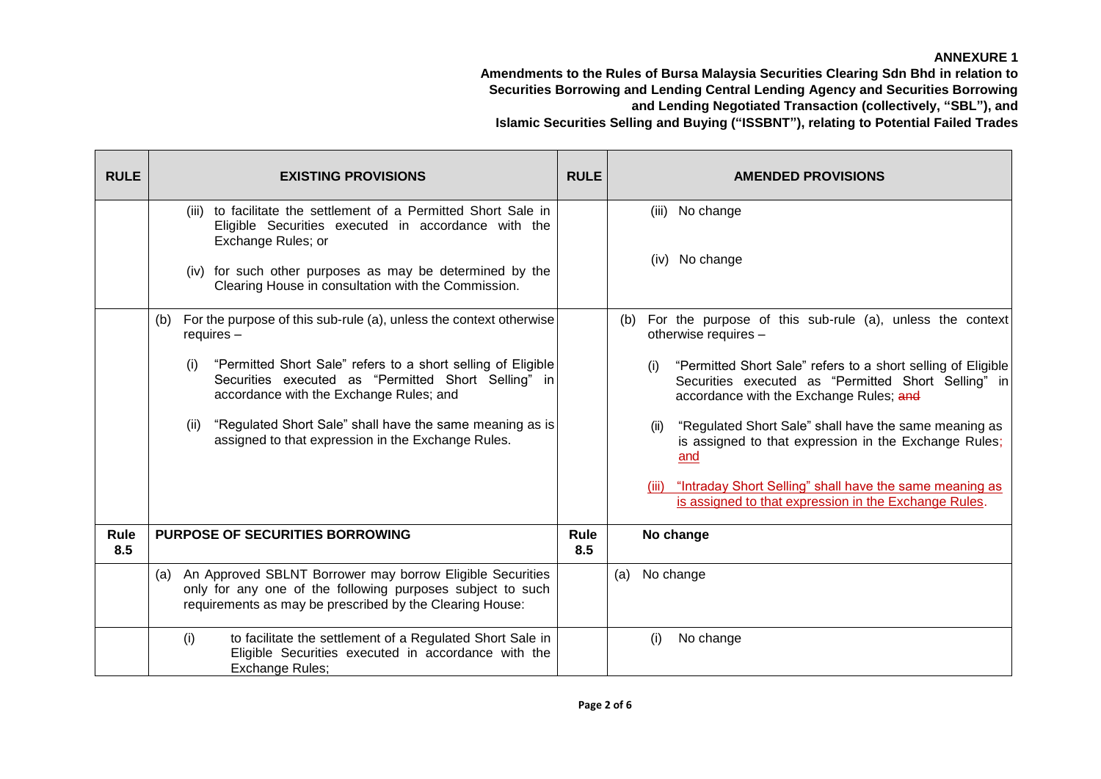| <b>RULE</b> | <b>EXISTING PROVISIONS</b>                                                                                                                                                                                  | <b>RULE</b> | <b>AMENDED PROVISIONS</b>                                                                                                                                             |
|-------------|-------------------------------------------------------------------------------------------------------------------------------------------------------------------------------------------------------------|-------------|-----------------------------------------------------------------------------------------------------------------------------------------------------------------------|
|             | to facilitate the settlement of a Permitted Short Sale in<br>(iii)<br>Eligible Securities executed in accordance with the<br>Exchange Rules; or<br>(iv) for such other purposes as may be determined by the |             | (iii) No change<br>(iv) No change                                                                                                                                     |
|             | Clearing House in consultation with the Commission.                                                                                                                                                         |             |                                                                                                                                                                       |
|             | (b) For the purpose of this sub-rule (a), unless the context otherwise<br>requires $-$                                                                                                                      |             | (b) For the purpose of this sub-rule (a), unless the context<br>otherwise requires -                                                                                  |
|             | "Permitted Short Sale" refers to a short selling of Eligible<br>(i)<br>Securities executed as "Permitted Short Selling" in<br>accordance with the Exchange Rules; and                                       |             | "Permitted Short Sale" refers to a short selling of Eligible<br>(i)<br>Securities executed as "Permitted Short Selling" in<br>accordance with the Exchange Rules; and |
|             | "Regulated Short Sale" shall have the same meaning as is<br>(ii)<br>assigned to that expression in the Exchange Rules.                                                                                      |             | "Regulated Short Sale" shall have the same meaning as<br>(ii)<br>is assigned to that expression in the Exchange Rules;<br>and                                         |
|             |                                                                                                                                                                                                             |             | (iii) "Intraday Short Selling" shall have the same meaning as<br>is assigned to that expression in the Exchange Rules.                                                |
| Rule<br>8.5 | <b>PURPOSE OF SECURITIES BORROWING</b>                                                                                                                                                                      |             | No change                                                                                                                                                             |
|             | (a) An Approved SBLNT Borrower may borrow Eligible Securities<br>only for any one of the following purposes subject to such<br>requirements as may be prescribed by the Clearing House:                     |             | No change<br>(a)                                                                                                                                                      |
|             | to facilitate the settlement of a Regulated Short Sale in<br>(i)<br>Eligible Securities executed in accordance with the<br>Exchange Rules;                                                                  |             | No change<br>(i)                                                                                                                                                      |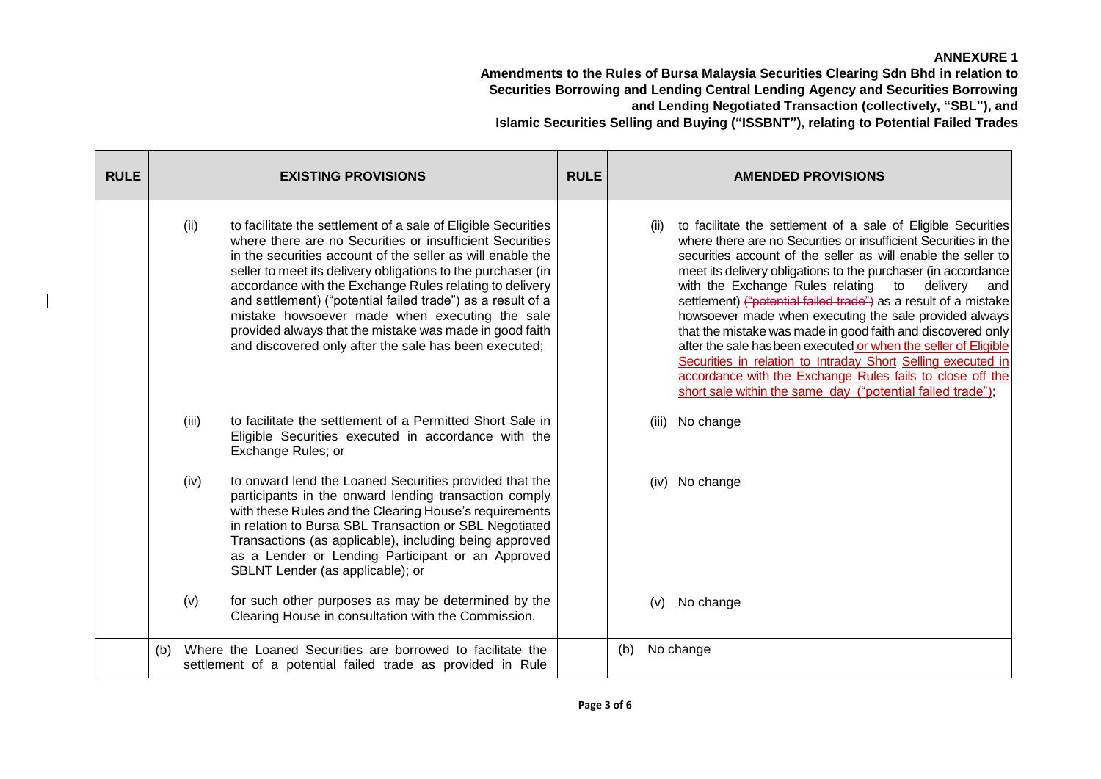| <b>RULE</b> |     |       | <b>EXISTING PROVISIONS</b>                                                                                                                                                                                                                                                                                                                                                                                                                                                                                                                              | <b>RULE</b> |     |      | <b>AMENDED PROVISIONS</b>                                                                                                                                                                                                                                                                                                                                                                                                                                                                                                                                                                                                                                                                                                                                                           |
|-------------|-----|-------|---------------------------------------------------------------------------------------------------------------------------------------------------------------------------------------------------------------------------------------------------------------------------------------------------------------------------------------------------------------------------------------------------------------------------------------------------------------------------------------------------------------------------------------------------------|-------------|-----|------|-------------------------------------------------------------------------------------------------------------------------------------------------------------------------------------------------------------------------------------------------------------------------------------------------------------------------------------------------------------------------------------------------------------------------------------------------------------------------------------------------------------------------------------------------------------------------------------------------------------------------------------------------------------------------------------------------------------------------------------------------------------------------------------|
|             |     | (ii)  | to facilitate the settlement of a sale of Eligible Securities<br>where there are no Securities or insufficient Securities<br>in the securities account of the seller as will enable the<br>seller to meet its delivery obligations to the purchaser (in<br>accordance with the Exchange Rules relating to delivery<br>and settlement) ("potential failed trade") as a result of a<br>mistake howsoever made when executing the sale<br>provided always that the mistake was made in good faith<br>and discovered only after the sale has been executed; |             |     | (ii) | to facilitate the settlement of a sale of Eligible Securities<br>where there are no Securities or insufficient Securities in the<br>securities account of the seller as will enable the seller to<br>meet its delivery obligations to the purchaser (in accordance<br>with the Exchange Rules relating to delivery<br>and<br>settlement) ("potential failed trade") as a result of a mistake<br>howsoever made when executing the sale provided always<br>that the mistake was made in good faith and discovered only<br>after the sale has been executed or when the seller of Eligible<br>Securities in relation to Intraday Short Selling executed in<br>accordance with the Exchange Rules fails to close off the<br>short sale within the same day ("potential failed trade"); |
|             |     | (iii) | to facilitate the settlement of a Permitted Short Sale in<br>Eligible Securities executed in accordance with the<br>Exchange Rules; or                                                                                                                                                                                                                                                                                                                                                                                                                  |             |     |      | (iii) No change                                                                                                                                                                                                                                                                                                                                                                                                                                                                                                                                                                                                                                                                                                                                                                     |
|             |     | (iv)  | to onward lend the Loaned Securities provided that the<br>participants in the onward lending transaction comply<br>with these Rules and the Clearing House's requirements<br>in relation to Bursa SBL Transaction or SBL Negotiated<br>Transactions (as applicable), including being approved<br>as a Lender or Lending Participant or an Approved<br>SBLNT Lender (as applicable); or                                                                                                                                                                  |             |     |      | (iv) No change                                                                                                                                                                                                                                                                                                                                                                                                                                                                                                                                                                                                                                                                                                                                                                      |
|             |     | (v)   | for such other purposes as may be determined by the<br>Clearing House in consultation with the Commission.                                                                                                                                                                                                                                                                                                                                                                                                                                              |             |     | (v)  | No change                                                                                                                                                                                                                                                                                                                                                                                                                                                                                                                                                                                                                                                                                                                                                                           |
|             | (b) |       | Where the Loaned Securities are borrowed to facilitate the<br>settlement of a potential failed trade as provided in Rule                                                                                                                                                                                                                                                                                                                                                                                                                                |             | (b) |      | No change                                                                                                                                                                                                                                                                                                                                                                                                                                                                                                                                                                                                                                                                                                                                                                           |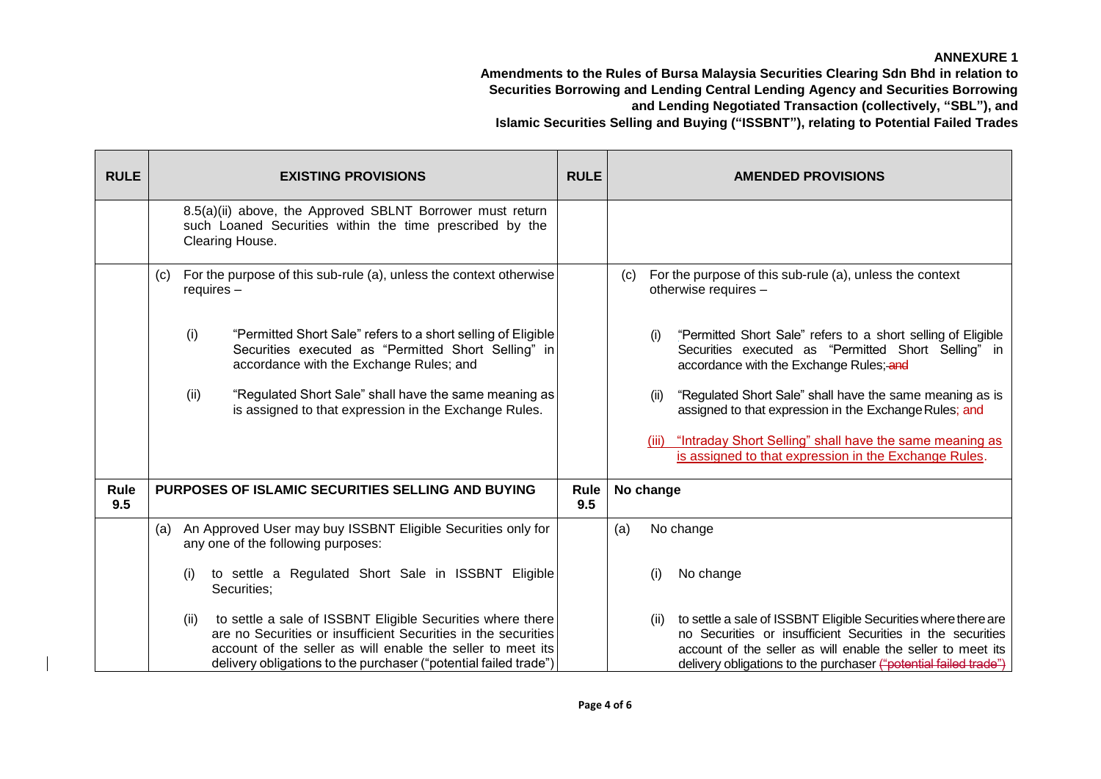| <b>RULE</b> |                                                                                           | <b>EXISTING PROVISIONS</b>                                                                                                                                                                                                                                      | <b>RULE</b> | <b>AMENDED PROVISIONS</b>                                                                                                                                                                                                                                               |
|-------------|-------------------------------------------------------------------------------------------|-----------------------------------------------------------------------------------------------------------------------------------------------------------------------------------------------------------------------------------------------------------------|-------------|-------------------------------------------------------------------------------------------------------------------------------------------------------------------------------------------------------------------------------------------------------------------------|
|             |                                                                                           | 8.5(a)(ii) above, the Approved SBLNT Borrower must return<br>such Loaned Securities within the time prescribed by the<br>Clearing House.                                                                                                                        |             |                                                                                                                                                                                                                                                                         |
|             | For the purpose of this sub-rule (a), unless the context otherwise<br>(C)<br>$requires -$ |                                                                                                                                                                                                                                                                 |             | For the purpose of this sub-rule (a), unless the context<br>(C)<br>otherwise requires -                                                                                                                                                                                 |
|             | (i)                                                                                       | "Permitted Short Sale" refers to a short selling of Eligible<br>Securities executed as "Permitted Short Selling" in<br>accordance with the Exchange Rules; and                                                                                                  |             | "Permitted Short Sale" refers to a short selling of Eligible<br>(i)<br>Securities executed as "Permitted Short Selling" in<br>accordance with the Exchange Rules; and                                                                                                   |
|             | (ii)                                                                                      | "Regulated Short Sale" shall have the same meaning as<br>is assigned to that expression in the Exchange Rules.                                                                                                                                                  |             | "Regulated Short Sale" shall have the same meaning as is<br>(ii)<br>assigned to that expression in the Exchange Rules; and                                                                                                                                              |
|             |                                                                                           |                                                                                                                                                                                                                                                                 |             | "Intraday Short Selling" shall have the same meaning as<br>(iii)<br>is assigned to that expression in the Exchange Rules.                                                                                                                                               |
| Rule<br>9.5 | PURPOSES OF ISLAMIC SECURITIES SELLING AND BUYING                                         |                                                                                                                                                                                                                                                                 | Rule<br>9.5 | No change                                                                                                                                                                                                                                                               |
|             | (a)                                                                                       | An Approved User may buy ISSBNT Eligible Securities only for<br>any one of the following purposes:                                                                                                                                                              |             | No change<br>(a)                                                                                                                                                                                                                                                        |
|             | (i)                                                                                       | to settle a Regulated Short Sale in ISSBNT Eligible<br>Securities;                                                                                                                                                                                              |             | (i)<br>No change                                                                                                                                                                                                                                                        |
|             | (ii)                                                                                      | to settle a sale of ISSBNT Eligible Securities where there<br>are no Securities or insufficient Securities in the securities<br>account of the seller as will enable the seller to meet its<br>delivery obligations to the purchaser ("potential failed trade") |             | to settle a sale of ISSBNT Eligible Securities where there are<br>(ii)<br>no Securities or insufficient Securities in the securities<br>account of the seller as will enable the seller to meet its<br>delivery obligations to the purchaser ("potential failed trade") |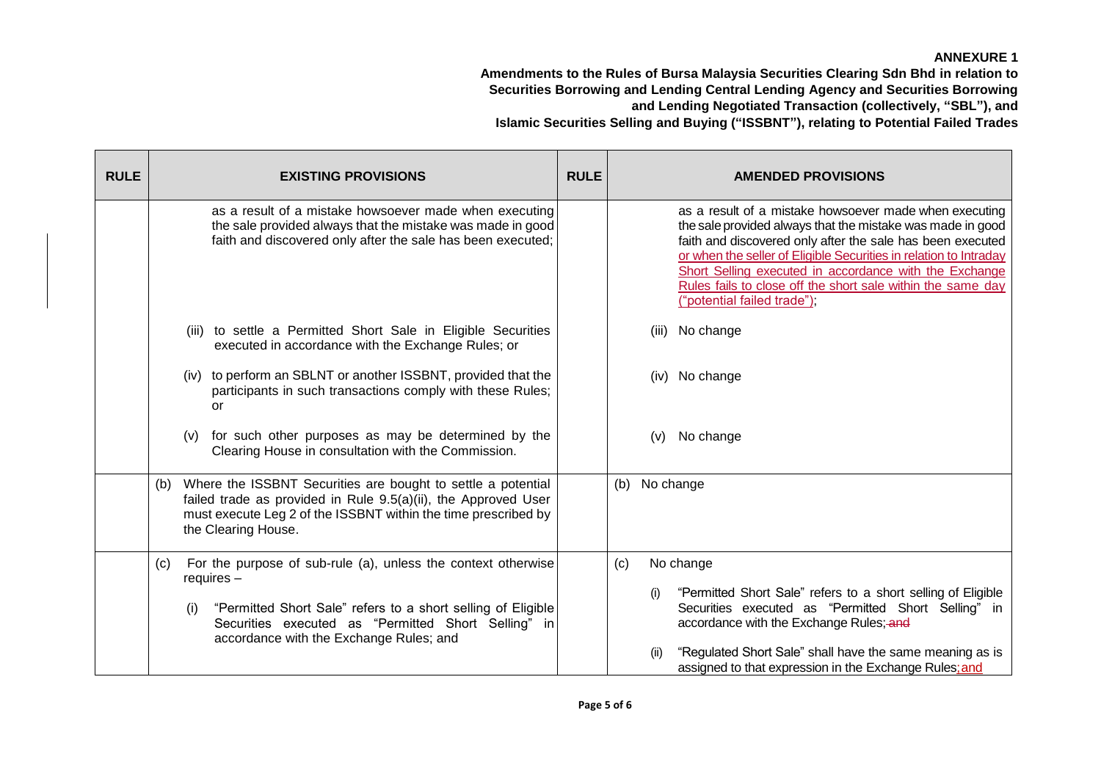| <b>RULE</b> | <b>EXISTING PROVISIONS</b>                                                                                                                                                                                                     | <b>RULE</b> | <b>AMENDED PROVISIONS</b>                                                                                                                                                                                                                                                                                                                                                                                       |
|-------------|--------------------------------------------------------------------------------------------------------------------------------------------------------------------------------------------------------------------------------|-------------|-----------------------------------------------------------------------------------------------------------------------------------------------------------------------------------------------------------------------------------------------------------------------------------------------------------------------------------------------------------------------------------------------------------------|
|             | as a result of a mistake howsoever made when executing<br>the sale provided always that the mistake was made in good<br>faith and discovered only after the sale has been executed;                                            |             | as a result of a mistake howsoever made when executing<br>the sale provided always that the mistake was made in good<br>faith and discovered only after the sale has been executed<br>or when the seller of Eligible Securities in relation to Intraday<br>Short Selling executed in accordance with the Exchange<br>Rules fails to close off the short sale within the same day<br>("potential failed trade"); |
|             | (iii) to settle a Permitted Short Sale in Eligible Securities<br>executed in accordance with the Exchange Rules; or                                                                                                            |             | No change<br>(iii)                                                                                                                                                                                                                                                                                                                                                                                              |
|             | (iv) to perform an SBLNT or another ISSBNT, provided that the<br>participants in such transactions comply with these Rules;<br>or                                                                                              |             | (iv) No change                                                                                                                                                                                                                                                                                                                                                                                                  |
|             | for such other purposes as may be determined by the<br>(v)<br>Clearing House in consultation with the Commission.                                                                                                              |             | No change<br>(v)                                                                                                                                                                                                                                                                                                                                                                                                |
|             | Where the ISSBNT Securities are bought to settle a potential<br>(b)<br>failed trade as provided in Rule 9.5(a)(ii), the Approved User<br>must execute Leg 2 of the ISSBNT within the time prescribed by<br>the Clearing House. |             | No change<br>(b)                                                                                                                                                                                                                                                                                                                                                                                                |
|             | For the purpose of sub-rule (a), unless the context otherwise<br>(c)<br>$requires -$                                                                                                                                           |             | No change<br>(c)<br>"Permitted Short Sale" refers to a short selling of Eligible<br>(i)                                                                                                                                                                                                                                                                                                                         |
|             | "Permitted Short Sale" refers to a short selling of Eligible<br>(i)<br>Securities executed as "Permitted Short Selling" in<br>accordance with the Exchange Rules; and                                                          |             | Securities executed as "Permitted Short Selling" in<br>accordance with the Exchange Rules; and                                                                                                                                                                                                                                                                                                                  |
|             |                                                                                                                                                                                                                                |             | "Regulated Short Sale" shall have the same meaning as is<br>(ii)<br>assigned to that expression in the Exchange Rules; and                                                                                                                                                                                                                                                                                      |